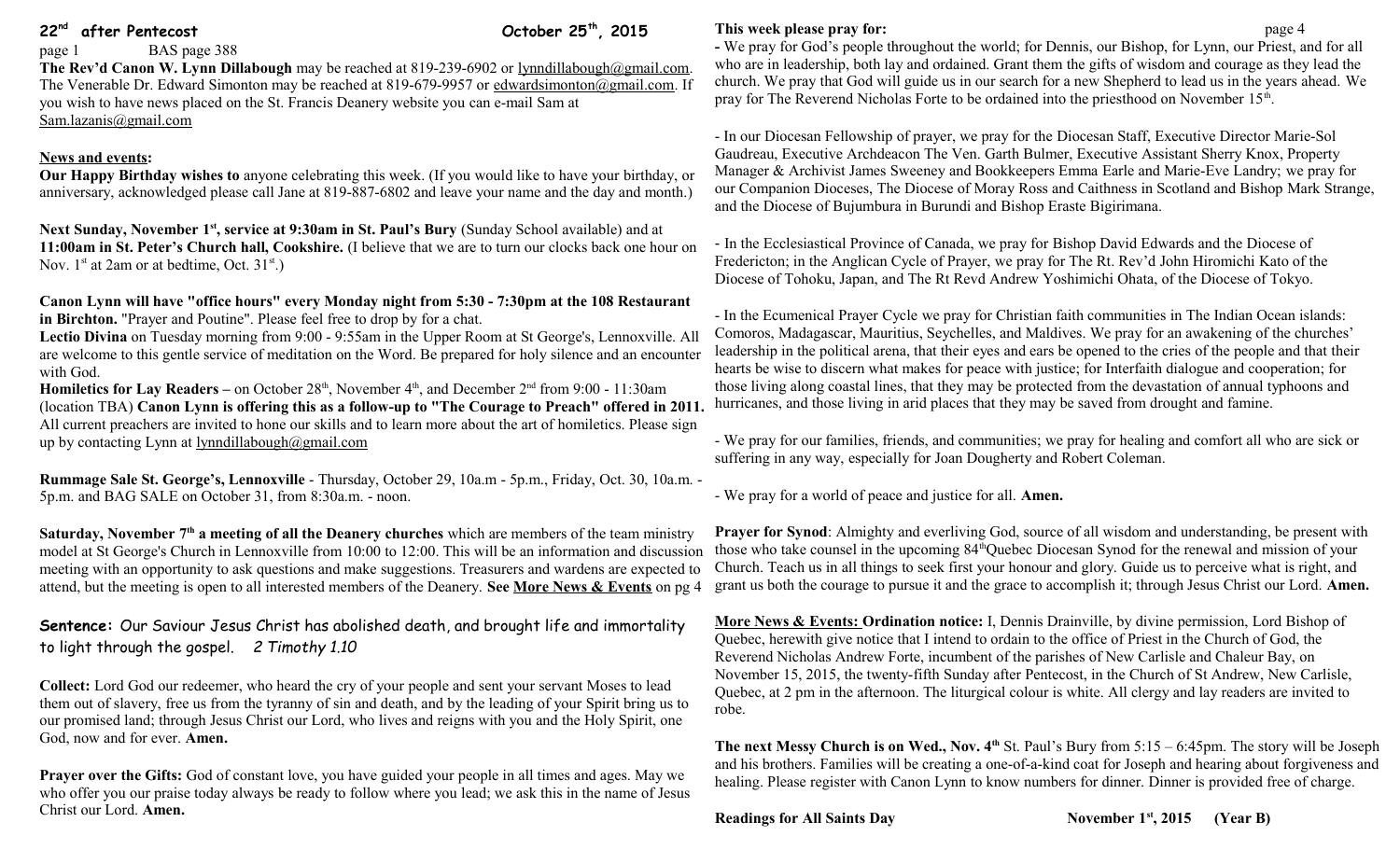# **22nd after Pentecost October 25th, 2015**

page 1 BAS page 388

**The Rev'd Canon W. Lynn Dillabough** may be reached at 819-239-6902 or [lynndillabough@gmail.com.](mailto:lynndillabough@gmail.com) The Venerable Dr. Edward Simonton may be reached at 819-679-9957 or [edwardsimonton@gmail.com.](mailto:edwardsimonton@gmail.com) If you wish to have news placed on the St. Francis Deanery website you can e-mail Sam at [Sam.lazanis@gmail.com](mailto:Sam.lazanis@gmail.com)

# **News and events:**

**Our Happy Birthday wishes to** anyone celebrating this week. (If you would like to have your birthday, or anniversary, acknowledged please call Jane at 819-887-6802 and leave your name and the day and month.)

**Next Sunday, November 1st, service at 9:30am in St. Paul's Bury** (Sunday School available) and at **11:00am in St. Peter's Church hall, Cookshire.** (I believe that we are to turn our clocks back one hour on Nov.  $1^{st}$  at 2am or at bedtime, Oct.  $31^{st}$ .)

**Canon Lynn will have "office hours" every Monday night from 5:30 - 7:30pm at the 108 Restaurant in Birchton.** "Prayer and Poutine". Please feel free to drop by for a chat.

**Lectio Divina** on Tuesday morning from 9:00 - 9:55am in the Upper Room at St George's, Lennoxville. All are welcome to this gentle service of meditation on the Word. Be prepared for holy silence and an encounter with God.

**Homiletics for Lay Readers** – on October 28<sup>th</sup>, November 4<sup>th</sup>, and December 2<sup>nd</sup> from 9:00 - 11:30am (location TBA) **Canon Lynn is offering this as a follow-up to "The Courage to Preach" offered in 2011.** All current preachers are invited to hone our skills and to learn more about the art of homiletics. Please sign up by contacting Lynn at  $lyondilla bought@gmail.com$ 

**Rummage Sale St. George's, Lennoxville** - Thursday, October 29, 10a.m - 5p.m., Friday, Oct. 30, 10a.m. - 5p.m. and BAG SALE on October 31, from 8:30a.m. - noon.

**Saturday, November 7th a meeting of all the Deanery churches** which are members of the team ministry model at St George's Church in Lennoxville from 10:00 to 12:00. This will be an information and discussion those who take counsel in the upcoming 84<sup>th</sup>Quebec Diocesan Synod for the renewal and mission of your meeting with an opportunity to ask questions and make suggestions. Treasurers and wardens are expected to attend, but the meeting is open to all interested members of the Deanery. **See More News & Events** on pg 4

**Sentence:** Our Saviour Jesus Christ has abolished death, and brought life and immortality to light through the gospel. *2 Timothy 1.10*

**Collect:** Lord God our redeemer, who heard the cry of your people and sent your servant Moses to lead them out of slavery, free us from the tyranny of sin and death, and by the leading of your Spirit bring us to our promised land; through Jesus Christ our Lord, who lives and reigns with you and the Holy Spirit, one God, now and for ever. **Amen.**

**Prayer over the Gifts:** God of constant love, you have guided your people in all times and ages. May we who offer you our praise today always be ready to follow where you lead; we ask this in the name of Jesus Christ our Lord. **Amen.**

## **This week please pray for: page 4**

**-** We pray for God's people throughout the world; for Dennis, our Bishop, for Lynn, our Priest, and for all who are in leadership, both lay and ordained. Grant them the gifts of wisdom and courage as they lead the church. We pray that God will guide us in our search for a new Shepherd to lead us in the years ahead. We pray for The Reverend Nicholas Forte to be ordained into the priesthood on November 15<sup>th</sup>.

- In our Diocesan Fellowship of prayer, we pray for the Diocesan Staff, Executive Director Marie-Sol Gaudreau, Executive Archdeacon The Ven. Garth Bulmer, Executive Assistant Sherry Knox, Property Manager & Archivist James Sweeney and Bookkeepers Emma Earle and Marie-Eve Landry; we pray for our Companion Dioceses, The Diocese of Moray Ross and Caithness in Scotland and Bishop Mark Strange, and the Diocese of Bujumbura in Burundi and Bishop Eraste Bigirimana.

- In the Ecclesiastical Province of Canada, we pray for Bishop David Edwards and the Diocese of Fredericton; in the Anglican Cycle of Prayer, we pray for The Rt. Rev'd John Hiromichi Kato of the Diocese of Tohoku, Japan, and The Rt Revd Andrew Yoshimichi Ohata, of the Diocese of Tokyo.

- In the Ecumenical Prayer Cycle we pray for Christian faith communities in The Indian Ocean islands: Comoros, Madagascar, Mauritius, Seychelles, and Maldives. We pray for an awakening of the churches' leadership in the political arena, that their eyes and ears be opened to the cries of the people and that their hearts be wise to discern what makes for peace with justice; for Interfaith dialogue and cooperation; for those living along coastal lines, that they may be protected from the devastation of annual typhoons and hurricanes, and those living in arid places that they may be saved from drought and famine.

- We pray for our families, friends, and communities; we pray for healing and comfort all who are sick or suffering in any way, especially for Joan Dougherty and Robert Coleman.

- We pray for a world of peace and justice for all. **Amen.**

**Prayer for Synod:** Almighty and everliving God, source of all wisdom and understanding, be present with Church. Teach us in all things to seek first your honour and glory. Guide us to perceive what is right, and grant us both the courage to pursue it and the grace to accomplish it; through Jesus Christ our Lord. **Amen.**

**More News & Events: Ordination notice:** I, Dennis Drainville, by divine permission, Lord Bishop of Quebec, herewith give notice that I intend to ordain to the office of Priest in the Church of God, the Reverend Nicholas Andrew Forte, incumbent of the parishes of New Carlisle and Chaleur Bay, on November 15, 2015, the twenty-fifth Sunday after Pentecost, in the Church of St Andrew, New Carlisle, Quebec, at 2 pm in the afternoon. The liturgical colour is white. All clergy and lay readers are invited to robe.

**The next Messy Church is on Wed., Nov. 4th** St. Paul's Bury from 5:15 – 6:45pm. The story will be Joseph and his brothers. Families will be creating a one-of-a-kind coat for Joseph and hearing about forgiveness and healing. Please register with Canon Lynn to know numbers for dinner. Dinner is provided free of charge.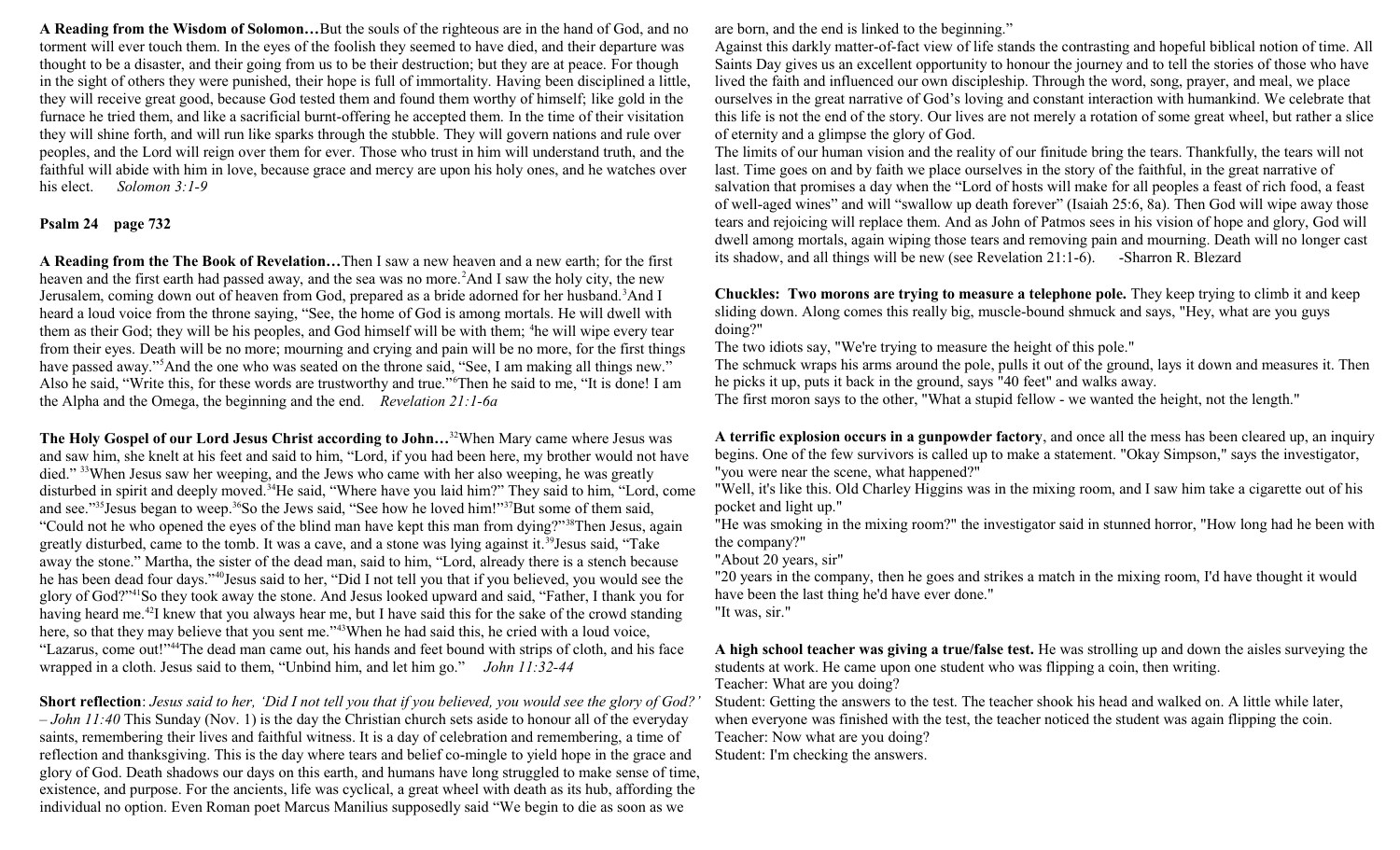**A Reading from the Wisdom of Solomon…**But the souls of the righteous are in the hand of God, and no torment will ever touch them. In the eyes of the foolish they seemed to have died, and their departure was thought to be a disaster, and their going from us to be their destruction; but they are at peace. For though in the sight of others they were punished, their hope is full of immortality. Having been disciplined a little, they will receive great good, because God tested them and found them worthy of himself; like gold in the furnace he tried them, and like a sacrificial burnt-offering he accepted them. In the time of their visitation they will shine forth, and will run like sparks through the stubble. They will govern nations and rule over peoples, and the Lord will reign over them for ever. Those who trust in him will understand truth, and the faithful will abide with him in love, because grace and mercy are upon his holy ones, and he watches over his elect. *Solomon 3:1-9*

# **Psalm 24 page 732**

**A Reading from the The Book of Revelation…**Then I saw a new heaven and a new earth; for the first heaven and the first earth had passed away, and the sea was no more.<sup>2</sup>And I saw the holy city, the new Jerusalem, coming down out of heaven from God, prepared as a bride adorned for her husband.<sup>3</sup>And I heard a loud voice from the throne saying, "See, the home of God is among mortals. He will dwell with them as their God; they will be his peoples, and God himself will be with them; <sup>4</sup>he will wipe every tear from their eyes. Death will be no more; mourning and crying and pain will be no more, for the first things have passed away."<sup>5</sup>And the one who was seated on the throne said, "See, I am making all things new." Also he said, "Write this, for these words are trustworthy and true."<sup>6</sup>Then he said to me, "It is done! I am the Alpha and the Omega, the beginning and the end. *Revelation 21:1-6a*

**The Holy Gospel of our Lord Jesus Christ according to John…**<sup>32</sup>When Mary came where Jesus was and saw him, she knelt at his feet and said to him, "Lord, if you had been here, my brother would not have died." <sup>33</sup>When Jesus saw her weeping, and the Jews who came with her also weeping, he was greatly disturbed in spirit and deeply moved.<sup>34</sup>He said, "Where have you laid him?" They said to him, "Lord, come and see."<sup>35</sup>Jesus began to weep.<sup>36</sup>So the Jews said, "See how he loved him!"<sup>37</sup>But some of them said, "Could not he who opened the eyes of the blind man have kept this man from dying?"<sup>38</sup>Then Jesus, again greatly disturbed, came to the tomb. It was a cave, and a stone was lying against it.<sup>39</sup>Jesus said, "Take away the stone." Martha, the sister of the dead man, said to him, "Lord, already there is a stench because he has been dead four days."<sup>40</sup>Jesus said to her, "Did I not tell you that if you believed, you would see the glory of God?"<sup>41</sup>So they took away the stone. And Jesus looked upward and said, "Father, I thank you for having heard me.<sup>42</sup>I knew that you always hear me, but I have said this for the sake of the crowd standing here, so that they may believe that you sent me."<sup>43</sup>When he had said this, he cried with a loud voice, "Lazarus, come out!"<sup>44</sup>The dead man came out, his hands and feet bound with strips of cloth, and his face wrapped in a cloth. Jesus said to them, "Unbind him, and let him go." *John 11:32-44* 

**Short reflection**: *Jesus said to her, 'Did I not tell you that if you believed, you would see the glory of God?' – John 11:40* This Sunday (Nov. 1) is the day the Christian church sets aside to honour all of the everyday saints, remembering their lives and faithful witness. It is a day of celebration and remembering, a time of reflection and thanksgiving. This is the day where tears and belief co-mingle to yield hope in the grace and glory of God. Death shadows our days on this earth, and humans have long struggled to make sense of time, existence, and purpose. For the ancients, life was cyclical, a great wheel with death as its hub, affording the individual no option. Even Roman poet Marcus Manilius supposedly said "We begin to die as soon as we

are born, and the end is linked to the beginning."

Against this darkly matter-of-fact view of life stands the contrasting and hopeful biblical notion of time. All Saints Day gives us an excellent opportunity to honour the journey and to tell the stories of those who have lived the faith and influenced our own discipleship. Through the word, song, prayer, and meal, we place ourselves in the great narrative of God's loving and constant interaction with humankind. We celebrate that this life is not the end of the story. Our lives are not merely a rotation of some great wheel, but rather a slice of eternity and a glimpse the glory of God.

The limits of our human vision and the reality of our finitude bring the tears. Thankfully, the tears will not last. Time goes on and by faith we place ourselves in the story of the faithful, in the great narrative of salvation that promises a day when the "Lord of hosts will make for all peoples a feast of rich food, a feast of well-aged wines" and will "swallow up death forever" (Isaiah 25:6, 8a). Then God will wipe away those tears and rejoicing will replace them. And as John of Patmos sees in his vision of hope and glory, God will dwell among mortals, again wiping those tears and removing pain and mourning. Death will no longer cast its shadow, and all things will be new (see Revelation 21:1-6). -Sharron R. Blezard

**Chuckles: Two morons are trying to measure a telephone pole.** They keep trying to climb it and keep sliding down. Along comes this really big, muscle-bound shmuck and says, "Hey, what are you guys doing?"

The two idiots say, "We're trying to measure the height of this pole."

The schmuck wraps his arms around the pole, pulls it out of the ground, lays it down and measures it. Then he picks it up, puts it back in the ground, says "40 feet" and walks away.

The first moron says to the other, "What a stupid fellow - we wanted the height, not the length."

**A terrific explosion occurs in a gunpowder factory**, and once all the mess has been cleared up, an inquiry begins. One of the few survivors is called up to make a statement. "Okay Simpson," says the investigator, "you were near the scene, what happened?"

"Well, it's like this. Old Charley Higgins was in the mixing room, and I saw him take a cigarette out of his pocket and light up."

"He was smoking in the mixing room?" the investigator said in stunned horror, "How long had he been with the company?"

"About 20 years, sir"

"20 years in the company, then he goes and strikes a match in the mixing room, I'd have thought it would have been the last thing he'd have ever done."

"It was, sir."

**A high school teacher was giving a true/false test.** He was strolling up and down the aisles surveying the students at work. He came upon one student who was flipping a coin, then writing. Teacher: What are you doing?

Student: Getting the answers to the test. The teacher shook his head and walked on. A little while later, when everyone was finished with the test, the teacher noticed the student was again flipping the coin. Teacher: Now what are you doing?

Student: I'm checking the answers.